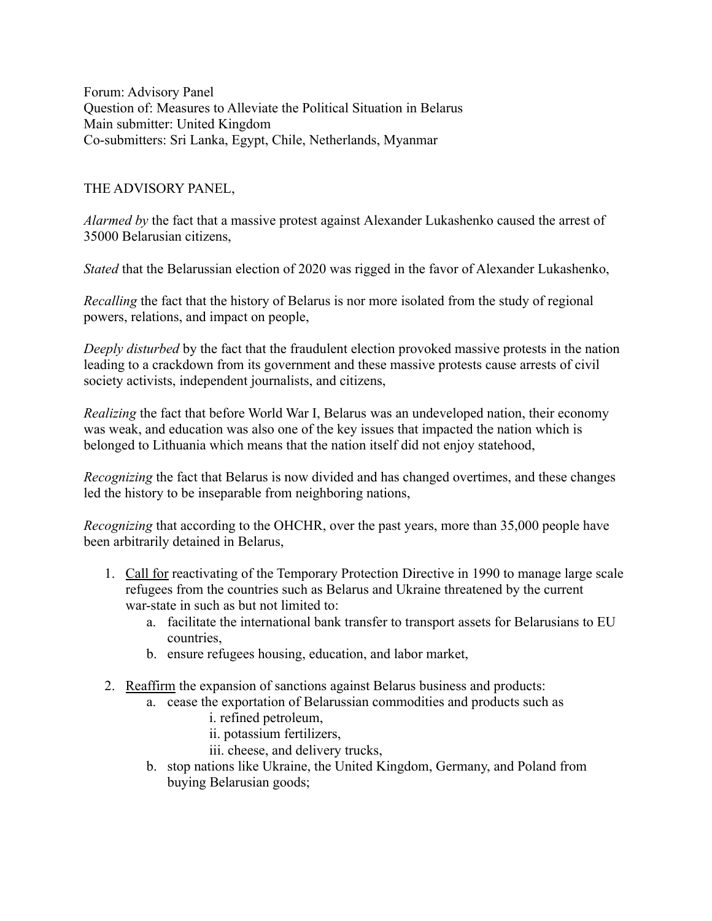Forum: Advisory Panel Question of: Measures to Alleviate the Political Situation in Belarus Main submitter: United Kingdom Co-submitters: Sri Lanka, Egypt, Chile, Netherlands, Myanmar

## THE ADVISORY PANEL,

*Alarmed by* the fact that a massive protest against Alexander Lukashenko caused the arrest of 35000 Belarusian citizens,

*Stated* that the Belarussian election of 2020 was rigged in the favor of Alexander Lukashenko,

*Recalling* the fact that the history of Belarus is nor more isolated from the study of regional powers, relations, and impact on people,

*Deeply disturbed* by the fact that the fraudulent election provoked massive protests in the nation leading to a crackdown from its government and these massive protests cause arrests of civil society activists, independent journalists, and citizens,

*Realizing* the fact that before World War I, Belarus was an undeveloped nation, their economy was weak, and education was also one of the key issues that impacted the nation which is belonged to Lithuania which means that the nation itself did not enjoy statehood,

*Recognizing* the fact that Belarus is now divided and has changed overtimes, and these changes led the history to be inseparable from neighboring nations,

*Recognizing* that according to the OHCHR, over the past years, more than 35,000 people have been arbitrarily detained in Belarus,

- 1. Call for reactivating of the Temporary Protection Directive in 1990 to manage large scale refugees from the countries such as Belarus and Ukraine threatened by the current war-state in such as but not limited to:
	- a. facilitate the international bank transfer to transport assets for Belarusians to EU countries,
	- b. ensure refugees housing, education, and labor market,
- 2. Reaffirm the expansion of sanctions against Belarus business and products:
	- a. cease the exportation of Belarussian commodities and products such as
		- i. refined petroleum,
		- ii. potassium fertilizers,
		- iii. cheese, and delivery trucks,
	- b. stop nations like Ukraine, the United Kingdom, Germany, and Poland from buying Belarusian goods;